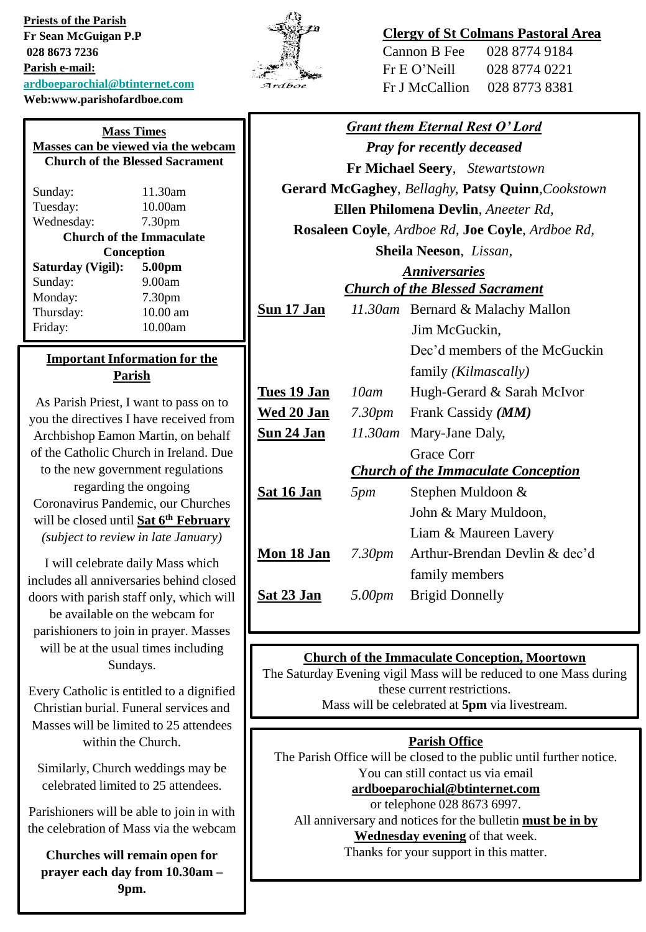**Priests of the Parish Fr Sean McGuigan P.P 028 8673 7236 Parish e-mail: [ardboeparochial@btinternet.com](mailto:ardboeparochial@btinternet.com) Web:www.parishofardboe.com**

## **Clergy of St Colmans Pastoral Area**

| Cannon B Fee   | 028 8774 9184 |
|----------------|---------------|
| Fr E O' Neill  | 028 8774 0221 |
| Fr J McCallion | 028 8773 8381 |

| <b>Grant them Eternal Rest O'Lord</b>             |                    |                                  |
|---------------------------------------------------|--------------------|----------------------------------|
| <b>Pray for recently deceased</b>                 |                    |                                  |
| <b>Fr Michael Seery, Stewartstown</b>             |                    |                                  |
| Gerard McGaghey, Bellaghy, Patsy Quinn, Cookstown |                    |                                  |
| Ellen Philomena Devlin, Aneeter Rd,               |                    |                                  |
| Rosaleen Coyle, Ardboe Rd, Joe Coyle, Ardboe Rd,  |                    |                                  |
| Sheila Neeson, Lissan,                            |                    |                                  |
| <b>Anniversaries</b>                              |                    |                                  |
| <b>Church of the Blessed Sacrament</b>            |                    |                                  |
| Sun 17 Jan                                        |                    | 11.30am Bernard & Malachy Mallon |
|                                                   |                    | Jim McGuckin,                    |
|                                                   |                    | Dec'd members of the McGuckin    |
|                                                   |                    | family (Kilmascally)             |
| Tues 19 Jan                                       | 10am               | Hugh-Gerard & Sarah McIvor       |
| <u>Wed 20 Jan</u>                                 |                    | 7.30pm Frank Cassidy (MM)        |
| <b>Sun 24 Jan</b>                                 | $11.30$ am         | Mary-Jane Daly,                  |
|                                                   |                    | Grace Corr                       |
| <b>Church of the Immaculate Conception</b>        |                    |                                  |
| Sat 16 Jan                                        | 5pm                | Stephen Muldoon &                |
|                                                   |                    | John & Mary Muldoon,             |
|                                                   |                    | Liam & Maureen Lavery            |
| Mon 18 Jan                                        | 7.30 <sub>pm</sub> | Arthur-Brendan Devlin & dec'd    |
|                                                   |                    | family members                   |
| Sat 23 Jan                                        | 5.00pm             | <b>Brigid Donnelly</b>           |
|                                                   |                    |                                  |

## **Church of the Immaculate Conception, Moortown**

The Saturday Evening vigil Mass will be reduced to one Mass during these current restrictions. Mass will be celebrated at **5pm** via livestream.

#### **Parish Office**

The Parish Office will be closed to the public until further notice. You can still contact us via email

## **[ardboeparochial@btinternet.com](mailto:ardboeparochial@btinternet.com)**

or telephone 028 8673 6997.

All anniversary and notices for the bulletin **must be in by** 

**Wednesday evening** of that week.

Thanks for your support in this matter.

| Sunday:                         | 11.30am            |  |
|---------------------------------|--------------------|--|
| Tuesday:                        | 10.00am            |  |
| Wednesday:                      | 7.30 <sub>pm</sub> |  |
| <b>Church of the Immaculate</b> |                    |  |
| Conception                      |                    |  |
| Saturday (Vigil):               | 5.00 <sub>pm</sub> |  |
| Sunday:                         | 9.00am             |  |
| Monday:                         | 7.30 <sub>pm</sub> |  |
| Thursday:                       | 10.00 am           |  |
| Friday:                         | 10.00am            |  |
|                                 |                    |  |

**Mass Times Masses can be viewed via the webcam Church of the Blessed Sacrament**

#### **Important Information for the Parish**

As Parish Priest, I want to pass on to you the directives I have received from Archbishop Eamon Martin, on behalf of the Catholic Church in Ireland. Due to the new government regulations regarding the ongoing Coronavirus Pandemic, our Churches will be closed until **Sat 6th February** *(subject to review in late January)*

I will celebrate daily Mass which includes all anniversaries behind closed doors with parish staff only, which will be available on the webcam for parishioners to join in prayer. Masses will be at the usual times including Sundays.

Every Catholic is entitled to a dignified Christian burial. Funeral services and Masses will be limited to 25 attendees within the Church.

Similarly, Church weddings may be celebrated limited to 25 attendees.

Parishioners will be able to join in with the celebration of Mass via the webcam

**Churches will remain open for prayer each day from 10.30am – 9pm.**